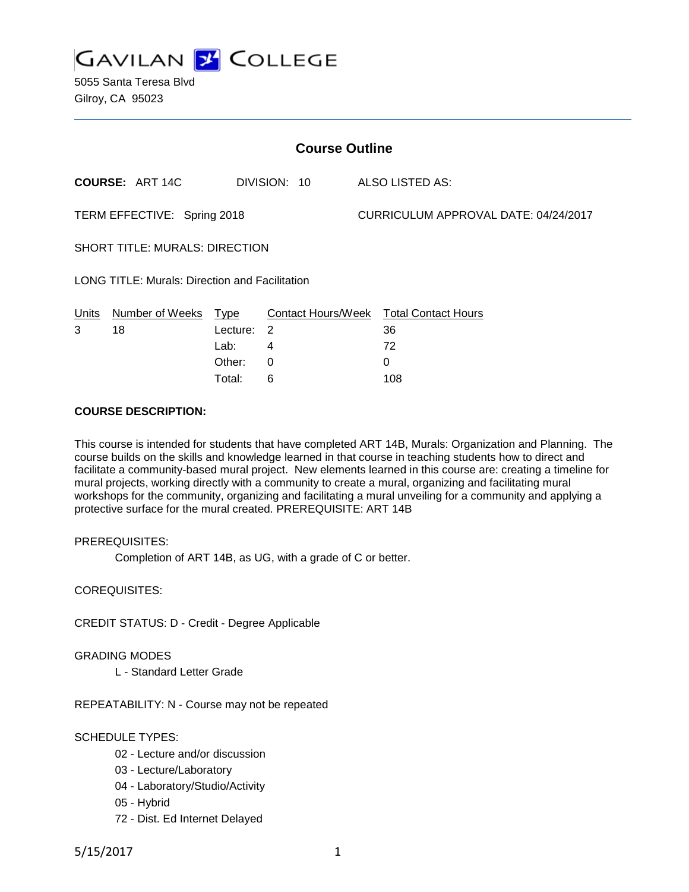

5055 Santa Teresa Blvd Gilroy, CA 95023

| <b>Course Outline</b>                                 |                        |          |                           |                                      |                            |
|-------------------------------------------------------|------------------------|----------|---------------------------|--------------------------------------|----------------------------|
|                                                       | <b>COURSE: ART 14C</b> |          | DIVISION: 10              |                                      | ALSO LISTED AS:            |
| TERM EFFECTIVE: Spring 2018                           |                        |          |                           | CURRICULUM APPROVAL DATE: 04/24/2017 |                            |
| <b>SHORT TITLE: MURALS: DIRECTION</b>                 |                        |          |                           |                                      |                            |
| <b>LONG TITLE: Murals: Direction and Facilitation</b> |                        |          |                           |                                      |                            |
| Units                                                 | Number of Weeks        | Type     | <b>Contact Hours/Week</b> |                                      | <b>Total Contact Hours</b> |
| 3                                                     | 18                     | Lecture: | 2                         |                                      | 36                         |
|                                                       |                        | Lab:     | 4                         |                                      | 72                         |
|                                                       |                        | Other:   | 0                         |                                      | 0                          |

Total: 6 108

### **COURSE DESCRIPTION:**

This course is intended for students that have completed ART 14B, Murals: Organization and Planning. The course builds on the skills and knowledge learned in that course in teaching students how to direct and facilitate a community-based mural project. New elements learned in this course are: creating a timeline for mural projects, working directly with a community to create a mural, organizing and facilitating mural workshops for the community, organizing and facilitating a mural unveiling for a community and applying a protective surface for the mural created. PREREQUISITE: ART 14B

## PREREQUISITES:

Completion of ART 14B, as UG, with a grade of C or better.

COREQUISITES:

CREDIT STATUS: D - Credit - Degree Applicable

#### GRADING MODES

L - Standard Letter Grade

REPEATABILITY: N - Course may not be repeated

## SCHEDULE TYPES:

- 02 Lecture and/or discussion
- 03 Lecture/Laboratory
- 04 Laboratory/Studio/Activity
- 05 Hybrid
- 72 Dist. Ed Internet Delayed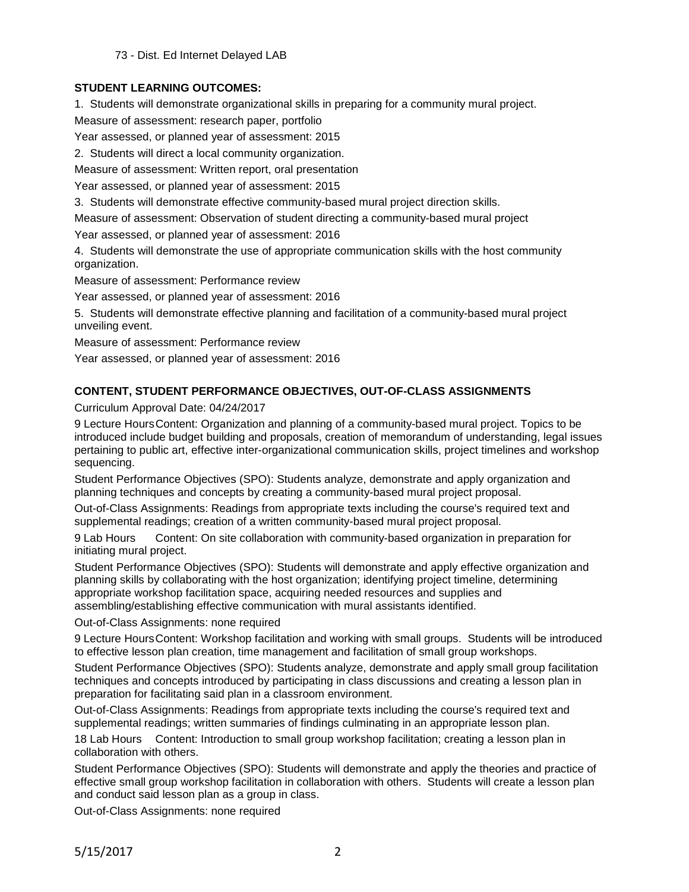73 - Dist. Ed Internet Delayed LAB

## **STUDENT LEARNING OUTCOMES:**

1. Students will demonstrate organizational skills in preparing for a community mural project.

Measure of assessment: research paper, portfolio

Year assessed, or planned year of assessment: 2015

2. Students will direct a local community organization.

Measure of assessment: Written report, oral presentation

Year assessed, or planned year of assessment: 2015

3. Students will demonstrate effective community-based mural project direction skills.

Measure of assessment: Observation of student directing a community-based mural project

Year assessed, or planned year of assessment: 2016

4. Students will demonstrate the use of appropriate communication skills with the host community organization.

Measure of assessment: Performance review

Year assessed, or planned year of assessment: 2016

5. Students will demonstrate effective planning and facilitation of a community-based mural project unveiling event.

Measure of assessment: Performance review

Year assessed, or planned year of assessment: 2016

# **CONTENT, STUDENT PERFORMANCE OBJECTIVES, OUT-OF-CLASS ASSIGNMENTS**

Curriculum Approval Date: 04/24/2017

9 Lecture HoursContent: Organization and planning of a community-based mural project. Topics to be introduced include budget building and proposals, creation of memorandum of understanding, legal issues pertaining to public art, effective inter-organizational communication skills, project timelines and workshop sequencing.

Student Performance Objectives (SPO): Students analyze, demonstrate and apply organization and planning techniques and concepts by creating a community-based mural project proposal.

Out-of-Class Assignments: Readings from appropriate texts including the course's required text and supplemental readings; creation of a written community-based mural project proposal.

9 Lab Hours Content: On site collaboration with community-based organization in preparation for initiating mural project.

Student Performance Objectives (SPO): Students will demonstrate and apply effective organization and planning skills by collaborating with the host organization; identifying project timeline, determining appropriate workshop facilitation space, acquiring needed resources and supplies and assembling/establishing effective communication with mural assistants identified.

Out-of-Class Assignments: none required

9 Lecture HoursContent: Workshop facilitation and working with small groups. Students will be introduced to effective lesson plan creation, time management and facilitation of small group workshops.

Student Performance Objectives (SPO): Students analyze, demonstrate and apply small group facilitation techniques and concepts introduced by participating in class discussions and creating a lesson plan in preparation for facilitating said plan in a classroom environment.

Out-of-Class Assignments: Readings from appropriate texts including the course's required text and supplemental readings; written summaries of findings culminating in an appropriate lesson plan.

18 Lab Hours Content: Introduction to small group workshop facilitation; creating a lesson plan in collaboration with others.

Student Performance Objectives (SPO): Students will demonstrate and apply the theories and practice of effective small group workshop facilitation in collaboration with others. Students will create a lesson plan and conduct said lesson plan as a group in class.

Out-of-Class Assignments: none required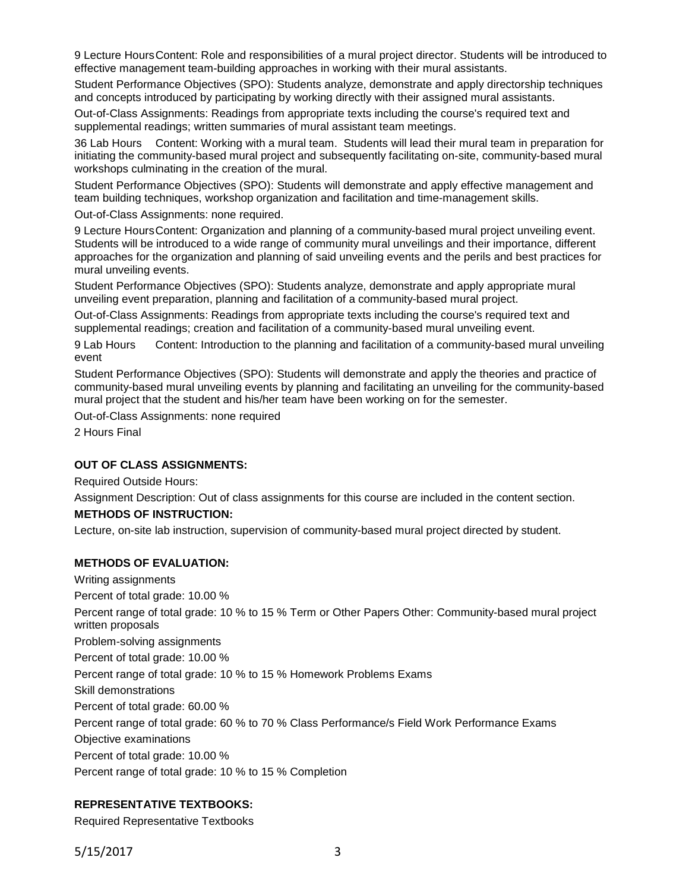9 Lecture HoursContent: Role and responsibilities of a mural project director. Students will be introduced to effective management team-building approaches in working with their mural assistants.

Student Performance Objectives (SPO): Students analyze, demonstrate and apply directorship techniques and concepts introduced by participating by working directly with their assigned mural assistants.

Out-of-Class Assignments: Readings from appropriate texts including the course's required text and supplemental readings; written summaries of mural assistant team meetings.

36 Lab Hours Content: Working with a mural team. Students will lead their mural team in preparation for initiating the community-based mural project and subsequently facilitating on-site, community-based mural workshops culminating in the creation of the mural.

Student Performance Objectives (SPO): Students will demonstrate and apply effective management and team building techniques, workshop organization and facilitation and time-management skills.

Out-of-Class Assignments: none required.

9 Lecture HoursContent: Organization and planning of a community-based mural project unveiling event. Students will be introduced to a wide range of community mural unveilings and their importance, different approaches for the organization and planning of said unveiling events and the perils and best practices for mural unveiling events.

Student Performance Objectives (SPO): Students analyze, demonstrate and apply appropriate mural unveiling event preparation, planning and facilitation of a community-based mural project.

Out-of-Class Assignments: Readings from appropriate texts including the course's required text and supplemental readings; creation and facilitation of a community-based mural unveiling event.

9 Lab Hours Content: Introduction to the planning and facilitation of a community-based mural unveiling event

Student Performance Objectives (SPO): Students will demonstrate and apply the theories and practice of community-based mural unveiling events by planning and facilitating an unveiling for the community-based mural project that the student and his/her team have been working on for the semester.

Out-of-Class Assignments: none required

2 Hours Final

#### **OUT OF CLASS ASSIGNMENTS:**

Required Outside Hours:

Assignment Description: Out of class assignments for this course are included in the content section.

#### **METHODS OF INSTRUCTION:**

Lecture, on-site lab instruction, supervision of community-based mural project directed by student.

#### **METHODS OF EVALUATION:**

Writing assignments Percent of total grade: 10.00 % Percent range of total grade: 10 % to 15 % Term or Other Papers Other: Community-based mural project written proposals Problem-solving assignments Percent of total grade: 10.00 % Percent range of total grade: 10 % to 15 % Homework Problems Exams Skill demonstrations Percent of total grade: 60.00 % Percent range of total grade: 60 % to 70 % Class Performance/s Field Work Performance Exams Objective examinations Percent of total grade: 10.00 % Percent range of total grade: 10 % to 15 % Completion

## **REPRESENTATIVE TEXTBOOKS:**

Required Representative Textbooks

5/15/2017 3